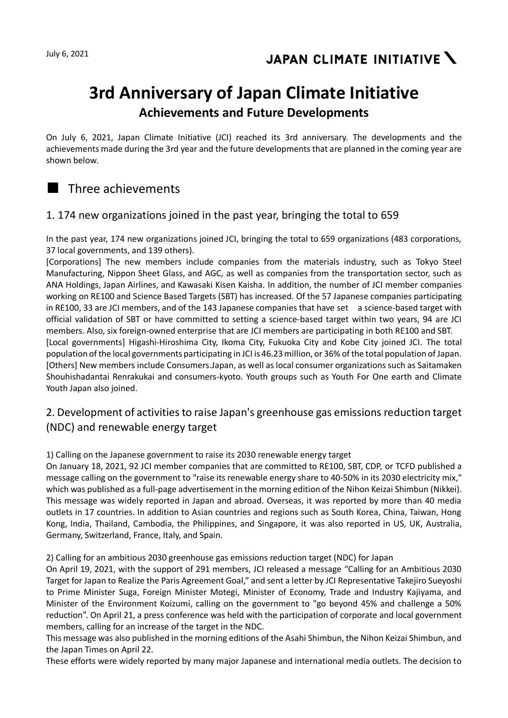# **3rd Anniversary of Japan Climate Initiative Achievements and Future Developments**

On July 6, 2021, Japan Climate Initiative (JCI) reached its 3rd anniversary. The developments and the achievements made during the 3rd year and the future developments that are planned in the coming year are shown below.

## **■** Three achievements

### 1. 174 new organizations joined in the past year, bringing the total to 659

In the past year, 174 new organizations joined JCI, bringing the total to 659 organizations (483 corporations, 37 local governments, and 139 others).

[Corporations] The new members include companies from the materials industry, such as Tokyo Steel Manufacturing, Nippon Sheet Glass, and AGC, as well as companies from the transportation sector, such as ANA Holdings, Japan Airlines, and Kawasaki Kisen Kaisha. In addition, the number of JCI member companies working on RE100 and Science Based Targets (SBT) has increased. Of the 57 Japanese companies participating in RE100, 33 are JCI members, and of the 143 Japanese companies that have set a science-based target with official validation of SBT or have committed to setting a science-based target within two years, 94 are JCI members. Also, six foreign-owned enterprise that are JCI members are participating in both RE100 and SBT.

[Local governments] Higashi-Hiroshima City, Ikoma City, Fukuoka City and Kobe City joined JCI. The total population of the local governments participating in JCI is 46.23 million, or 36% of the total population of Japan. [Others] New members include Consumers.Japan, as well as local consumer organizations such as Saitamaken Shouhishadantai Renrakukai and consumers-kyoto. Youth groups such as Youth For One earth and Climate Youth Japan also joined.

## 2. Development of activities to raise Japan's greenhouse gas emissions reduction target (NDC) and renewable energy target

1) Calling on the Japanese government to raise its 2030 renewable energy target

On January 18, 2021, 92 JCI member companies that are committed to RE100, SBT, CDP, or TCFD published a message calling on the government to "raise its renewable energy share to 40-50% in its 2030 electricity mix," which was published as a full-page advertisement in the morning edition of the Nihon Keizai Shimbun (Nikkei). This message was widely reported in Japan and abroad. Overseas, it was reported by more than 40 media outlets in 17 countries. In addition to Asian countries and regions such as South Korea, China, Taiwan, Hong Kong, India, Thailand, Cambodia, the Philippines, and Singapore, it was also reported in US, UK, Australia, Germany, Switzerland, France, Italy, and Spain.

#### 2) Calling for an ambitious 2030 greenhouse gas emissions reduction target (NDC) for Japan

On April 19, 2021, with the support of 291 members, JCI released a message "Calling for an Ambitious 2030 Target for Japan to Realize the Paris Agreement Goal," and sent a letter by JCI Representative Takejiro Sueyoshi to Prime Minister Suga, Foreign Minister Motegi, Minister of Economy, Trade and Industry Kajiyama, and Minister of the Environment Koizumi, calling on the government to "go beyond 45% and challenge a 50% reduction". On April 21, a press conference was held with the participation of corporate and local government members, calling for an increase of the target in the NDC.

This message was also published in the morning editions of the Asahi Shimbun, the Nihon Keizai Shimbun, and the Japan Times on April 22.

These efforts were widely reported by many major Japanese and international media outlets. The decision to